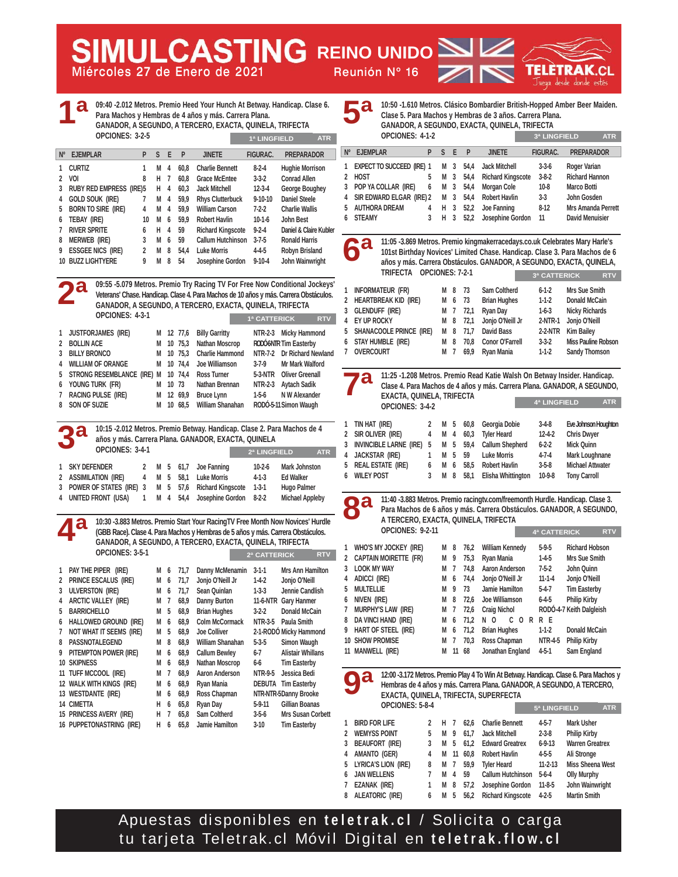**Miércoles 27 de Enero de 2021 Reunión Nº 16 MULCASTING REINO UNIDO** 

SI



|                                                                                                                                                                                                                                                                          | 09:40 -2.012 Metros. Premio Heed Your Hunch At Betway. Handicap. Clase 6.<br>d<br>Para Machos y Hembras de 4 años y más. Carrera Plana.<br>GANADOR, A SEGUNDO, A TERCERO, EXACTA, QUINELA, TRIFECTA<br>OPCIONES: 3-2-5<br>1ª LINGFIELD<br><b>ATR</b> |                                                                             |                                                                                                                                                                                                                                                           |                                                                                                                                                 |                                                                                                                                                                                                                             |                                                                     |                                                                                                          | a<br>10:50 -1.610 Metros. Clásico Bombardier British-Hopped Amber Beer Maiden.<br>Б<br>Clase 5. Para Machos y Hembras de 3 años. Carrera Plana.<br>GANADOR, A SEGUNDO, EXACTA, QUINELA, TRIFECTA<br>OPCIONES: 4-1-2<br>3ª LINGFIELD<br><b>ATR</b> |                                                      |                                                                                                    |                                                                                                                                                                                                                                                                                          |                                                                       |                                                                                                                                                                                                          |  |
|--------------------------------------------------------------------------------------------------------------------------------------------------------------------------------------------------------------------------------------------------------------------------|------------------------------------------------------------------------------------------------------------------------------------------------------------------------------------------------------------------------------------------------------|-----------------------------------------------------------------------------|-----------------------------------------------------------------------------------------------------------------------------------------------------------------------------------------------------------------------------------------------------------|-------------------------------------------------------------------------------------------------------------------------------------------------|-----------------------------------------------------------------------------------------------------------------------------------------------------------------------------------------------------------------------------|---------------------------------------------------------------------|----------------------------------------------------------------------------------------------------------|---------------------------------------------------------------------------------------------------------------------------------------------------------------------------------------------------------------------------------------------------|------------------------------------------------------|----------------------------------------------------------------------------------------------------|------------------------------------------------------------------------------------------------------------------------------------------------------------------------------------------------------------------------------------------------------------------------------------------|-----------------------------------------------------------------------|----------------------------------------------------------------------------------------------------------------------------------------------------------------------------------------------------------|--|
| <b>EJEMPLAR</b><br>$N^{\circ}$                                                                                                                                                                                                                                           | S E<br>P.                                                                                                                                                                                                                                            | $\mathsf{P}$                                                                | <b>JINETE</b>                                                                                                                                                                                                                                             | <b>FIGURAC.</b>                                                                                                                                 | <b>PREPARADOR</b>                                                                                                                                                                                                           | Nº EJEMPLAR                                                         |                                                                                                          | P                                                                                                                                                                                                                                                 |                                                      | S E P                                                                                              | <b>JINETE</b>                                                                                                                                                                                                                                                                            | FIGURAC.                                                              | <b>PREPARADOR</b>                                                                                                                                                                                        |  |
| <b>CURTIZ</b><br>1<br>1<br>2 VOI<br>8<br><b>RUBY RED EMPRESS (IRE)5</b><br>3<br>GOLD SOUK (IRE)<br>4<br><b>BORN TO SIRE (IRE)</b><br>4<br>5<br>6 TEBAY (IRE)<br><b>RIVER SPRITE</b><br>7<br>Merweb (IRE)<br>3<br>8<br><b>ESSGEE NICS (IRE)</b><br>9<br>10 BUZZ LIGHTYERE | M <sub>4</sub><br>Н<br>-7<br>н<br>4<br>M 4<br>7<br>M<br>$\overline{4}$<br>M 6<br>10<br>Н<br>4<br>6<br>M<br>$6\phantom{.0}$<br>2<br>M<br>9<br>M<br>8                                                                                                  | 60.8<br>60,8<br>60,3<br>59,9<br>59,9<br>59,9<br>59<br>59<br>54,4<br>8<br>54 | <b>Charlie Bennett</b><br><b>Grace McEntee</b><br><b>Jack Mitchell</b><br><b>Rhys Clutterbuck</b><br><b>William Carson</b><br><b>Robert Havlin</b><br><b>Richard Kingscote</b><br>Callum Hutchinson<br><b>Luke Morris</b><br>Josephine Gordon             | $8-2-4$<br>$3 - 3 - 2$<br>$12 - 3 - 4$<br>$9 - 10 - 10$<br>$7 - 2 - 2$<br>$10-1-6$<br>$9 - 2 - 4$<br>$3 - 7 - 5$<br>$4 - 4 - 5$<br>$9 - 10 - 4$ | <b>Hughie Morrison</b><br><b>Conrad Allen</b><br>George Boughey<br><b>Daniel Steele</b><br><b>Charlie Wallis</b><br>John Best<br>Daniel & Claire Kubler<br><b>Ronald Harris</b><br><b>Robyn Brisland</b><br>John Wainwright | 2 HOST<br>4<br>5<br><b>STEAMY</b><br>6<br>d<br>6                    | 1 EXPECT TO SUCCEED (IRE) 1<br>3 POP YA COLLAR (IRE)<br>SIR EDWARD ELGAR (IRE) 2<br><b>AUTHORA DREAM</b> | 5<br>6<br>4<br>3                                                                                                                                                                                                                                  | M<br>М<br>M<br>$\overline{3}$<br>Н<br>H <sub>3</sub> | $\overline{\mathbf{3}}$<br>54,4<br>3<br>54,4<br>M 3 54,4<br>54,4<br>$\overline{3}$<br>52,2<br>52,2 | <b>Jack Mitchell</b><br><b>Richard Kingscote</b><br>Morgan Cole<br><b>Robert Havlin</b><br><b>Joe Fanning</b><br>Josephine Gordon<br>11:05 -3.869 Metros. Premio kingmakerracedays.co.uk Celebrates Mary Harle's<br>años y más. Carrera Obstáculos. GANADOR, A SEGUNDO, EXACTA, QUINELA, | $3-3-6$<br>$3 - 8 - 2$<br>$10-8$<br>$3-3$<br>$8-12$<br>11             | Roger Varian<br><b>Richard Hannon</b><br>Marco Botti<br>John Gosden<br><b>Mrs Amanda Perrett</b><br><b>David Menuisier</b><br>101st Birthday Novices' Limited Chase. Handicap. Clase 3. Para Machos de 6 |  |
|                                                                                                                                                                                                                                                                          |                                                                                                                                                                                                                                                      |                                                                             |                                                                                                                                                                                                                                                           |                                                                                                                                                 |                                                                                                                                                                                                                             |                                                                     | TRIFECTA OPCIONES: 7-2-1                                                                                 |                                                                                                                                                                                                                                                   |                                                      |                                                                                                    |                                                                                                                                                                                                                                                                                          | 3ª CATTERICK                                                          | <b>RTV</b>                                                                                                                                                                                               |  |
| OPCIONES: 4-3-1<br>1 JUSTFORJAMES (IRE)                                                                                                                                                                                                                                  |                                                                                                                                                                                                                                                      | M 12 77,6                                                                   | 09:55 -5.079 Metros. Premio Try Racing TV For Free Now Conditional Jockeys'<br>Veterans' Chase. Handicap. Clase 4. Para Machos de 10 años y más. Carrera Obstáculos.<br>GANADOR, A SEGUNDO, A TERCERO, EXACTA, QUINELA, TRIFECTA<br><b>Billy Garritty</b> | 1ª CATTERICK                                                                                                                                    | <b>RTV</b><br>NTR-2-3 Micky Hammond                                                                                                                                                                                         | 2<br>3<br>$\overline{4}$<br>EY UP ROCKY<br>5                        | INFORMATEUR (FR)<br>HEARTBREAK KID (IRE)<br>GLENDUFF (IRE)<br>SHANACOOLE PRINCE(IRE)                     |                                                                                                                                                                                                                                                   | M 8<br>M<br>M 7<br>M 8<br>M 8                        | - 73<br>73<br>6<br>72,1<br>72,1<br>71,7                                                            | Sam Coltherd<br><b>Brian Hughes</b><br>Ryan Day<br>Jonjo O'Neill Jr<br><b>David Bass</b>                                                                                                                                                                                                 | $6 - 1 - 2$<br>$1-1-2$<br>$1-6-3$<br>2-NTR-1<br>2-2-NTR               | Mrs Sue Smith<br>Donald McCain<br><b>Nicky Richards</b><br>Jonjo O'Neill<br><b>Kim Bailey</b>                                                                                                            |  |
| <b>BOLLIN ACE</b><br>2                                                                                                                                                                                                                                                   | M                                                                                                                                                                                                                                                    | 10 75,3                                                                     | <b>Nathan Moscrop</b>                                                                                                                                                                                                                                     |                                                                                                                                                 | RODÓ6NTR Tim Easterby                                                                                                                                                                                                       | 6                                                                   | STAY HUMBLE (IRE)                                                                                        |                                                                                                                                                                                                                                                   | 8<br>M                                               | 70,8                                                                                               | Conor O'Farrell                                                                                                                                                                                                                                                                          | $3-3-2$                                                               | <b>Miss Pauline Robson</b>                                                                                                                                                                               |  |
| <b>BILLY BRONCO</b><br>3<br><b>WILLIAM OF ORANGE</b><br>4                                                                                                                                                                                                                | М                                                                                                                                                                                                                                                    | 10 75.3<br>M 10 74,4                                                        | <b>Charlie Hammond</b><br>Joe Williamson                                                                                                                                                                                                                  | $3 - 7 - 9$                                                                                                                                     | NTR-7-2 Dr Richard Newland<br><b>Mr Mark Walford</b>                                                                                                                                                                        | 7 OVERCOURT                                                         |                                                                                                          |                                                                                                                                                                                                                                                   | M 7                                                  | 69,9                                                                                               | Ryan Mania                                                                                                                                                                                                                                                                               | $1-1-2$                                                               | <b>Sandy Thomson</b>                                                                                                                                                                                     |  |
| STRONG RESEMBLANCE (IRE) M<br>5                                                                                                                                                                                                                                          |                                                                                                                                                                                                                                                      | 10 74,4                                                                     | <b>Ross Turner</b>                                                                                                                                                                                                                                        |                                                                                                                                                 | 5-3-NTR Oliver Greenall                                                                                                                                                                                                     |                                                                     |                                                                                                          |                                                                                                                                                                                                                                                   |                                                      |                                                                                                    | 11:25 -1.208 Metros. Premio Read Katie Walsh On Betway Insider. Handicap.                                                                                                                                                                                                                |                                                                       |                                                                                                                                                                                                          |  |
| Young Turk (FR)<br>6                                                                                                                                                                                                                                                     |                                                                                                                                                                                                                                                      | M 10 73                                                                     | Nathan Brennan                                                                                                                                                                                                                                            |                                                                                                                                                 | NTR-2-3 Aytach Sadik                                                                                                                                                                                                        | a                                                                   |                                                                                                          |                                                                                                                                                                                                                                                   |                                                      |                                                                                                    |                                                                                                                                                                                                                                                                                          |                                                                       | Clase 4. Para Machos de 4 años y más. Carrera Plana. GANADOR, A SEGUNDO,                                                                                                                                 |  |
| RACING PULSE (IRE)<br>7                                                                                                                                                                                                                                                  |                                                                                                                                                                                                                                                      | M 12 69,9                                                                   | <b>Bruce Lynn</b>                                                                                                                                                                                                                                         | $1 - 5 - 6$                                                                                                                                     | N W Alexander                                                                                                                                                                                                               |                                                                     | EXACTA, QUINELA, TRIFECTA                                                                                |                                                                                                                                                                                                                                                   |                                                      |                                                                                                    |                                                                                                                                                                                                                                                                                          |                                                                       |                                                                                                                                                                                                          |  |
| SON OF SUZIE<br>8                                                                                                                                                                                                                                                        |                                                                                                                                                                                                                                                      | M 10 68,5                                                                   | <b>William Shanahan</b>                                                                                                                                                                                                                                   |                                                                                                                                                 | RODÓ-5-11 Simon Waugh                                                                                                                                                                                                       |                                                                     | OPCIONES: 3-4-2                                                                                          |                                                                                                                                                                                                                                                   |                                                      |                                                                                                    |                                                                                                                                                                                                                                                                                          | 4ª LINGFIELD                                                          | <b>ATR</b>                                                                                                                                                                                               |  |
|                                                                                                                                                                                                                                                                          |                                                                                                                                                                                                                                                      |                                                                             | 10:15 -2.012 Metros. Premio Betway. Handicap. Clase 2. Para Machos de 4                                                                                                                                                                                   |                                                                                                                                                 |                                                                                                                                                                                                                             | 1 TIN HAT (IRE)                                                     |                                                                                                          | 2                                                                                                                                                                                                                                                 | M 5                                                  | 60,8                                                                                               | Georgia Dobie                                                                                                                                                                                                                                                                            | $3-4-8$                                                               | Eve Johnson Houghton                                                                                                                                                                                     |  |
| OPCIONES: 3-4-1<br>1 SKY DEFENDER<br>2 ASSIMILATION (IRE)<br>4<br>POWER OF STATES (IRE) 3<br>3                                                                                                                                                                           | 2<br>M 5<br>M<br>$5\phantom{.0}$<br>M 5                                                                                                                                                                                                              | 61,7<br>58,1<br>57,6                                                        | años y más. Carrera Plana. GANADOR, EXACTA, QUINELA<br>Joe Fanning<br><b>Luke Morris</b><br><b>Richard Kingscote</b>                                                                                                                                      | 2ª LINGFIELD<br>$10-2-6$<br>$4 - 1 - 3$<br>$1 - 3 - 1$                                                                                          | <b>ATR</b><br><b>Mark Johnston</b><br><b>Ed Walker</b><br>Hugo Palmer                                                                                                                                                       | 2 SIR OLIVER (IRE)<br>3<br>$\overline{4}$<br><b>WILEY POST</b><br>6 | INVINCIBLE LARNE (IRE)<br><b>JACKSTAR (IRE)</b><br>5 REAL ESTATE (IRE)                                   | 4<br>5<br>1<br>6<br>3                                                                                                                                                                                                                             | М<br>$\overline{4}$<br>M<br>- 5<br>М<br>M<br>M 8     | 60,3<br>59,4<br>5<br>59<br>6<br>58,5<br>58,1                                                       | <b>Tyler Heard</b><br><b>Callum Shepherd</b><br><b>Luke Morris</b><br><b>Robert Havlin</b><br>Elisha Whittington                                                                                                                                                                         | $12 - 4 - 2$<br>$6 - 2 - 2$<br>$4 - 7 - 4$<br>$3 - 5 - 8$<br>$10-9-8$ | <b>Chris Dwyer</b><br>Mick Quinn<br>Mark Loughnane<br><b>Michael Attwater</b><br><b>Tony Carroll</b>                                                                                                     |  |
| UNITED FRONT (USA)<br>1<br>4                                                                                                                                                                                                                                             | M 4                                                                                                                                                                                                                                                  | 54,4                                                                        | Josephine Gordon                                                                                                                                                                                                                                          | $8-2-2$                                                                                                                                         | <b>Michael Appleby</b>                                                                                                                                                                                                      |                                                                     |                                                                                                          |                                                                                                                                                                                                                                                   |                                                      |                                                                                                    | 11:40 -3.883 Metros. Premio racingtv.com/freemonth Hurdle. Handicap. Clase 3.                                                                                                                                                                                                            |                                                                       |                                                                                                                                                                                                          |  |
|                                                                                                                                                                                                                                                                          |                                                                                                                                                                                                                                                      |                                                                             |                                                                                                                                                                                                                                                           |                                                                                                                                                 |                                                                                                                                                                                                                             | 29<br>$\bullet$                                                     |                                                                                                          |                                                                                                                                                                                                                                                   |                                                      |                                                                                                    |                                                                                                                                                                                                                                                                                          |                                                                       | Para Machos de 6 años y más. Carrera Obstáculos. GANADOR, A SEGUNDO,                                                                                                                                     |  |
|                                                                                                                                                                                                                                                                          |                                                                                                                                                                                                                                                      |                                                                             | 10:30 -3.883 Metros. Premio Start Your RacingTV Free Month Now Novices' Hurdle                                                                                                                                                                            |                                                                                                                                                 |                                                                                                                                                                                                                             |                                                                     | A TERCERO, EXACTA, QUINELA, TRIFECTA                                                                     |                                                                                                                                                                                                                                                   |                                                      |                                                                                                    |                                                                                                                                                                                                                                                                                          |                                                                       |                                                                                                                                                                                                          |  |
|                                                                                                                                                                                                                                                                          |                                                                                                                                                                                                                                                      |                                                                             | (GBB Race). Clase 4. Para Machos y Hembras de 5 años y más. Carrera Obstáculos.                                                                                                                                                                           |                                                                                                                                                 |                                                                                                                                                                                                                             |                                                                     | OPCIONES: 9-2-11                                                                                         |                                                                                                                                                                                                                                                   |                                                      |                                                                                                    |                                                                                                                                                                                                                                                                                          | 4ª CATTERICK                                                          | <b>RTV</b>                                                                                                                                                                                               |  |
|                                                                                                                                                                                                                                                                          |                                                                                                                                                                                                                                                      |                                                                             | GANADOR, A SEGUNDO, A TERCERO, EXACTA, QUINELA, TRIFECTA                                                                                                                                                                                                  |                                                                                                                                                 |                                                                                                                                                                                                                             |                                                                     | 1 WHO'S MY JOCKEY (IRE)                                                                                  |                                                                                                                                                                                                                                                   | M 8                                                  | 76,2                                                                                               | <b>William Kennedy</b>                                                                                                                                                                                                                                                                   | $5-9-5$                                                               | <b>Richard Hobson</b>                                                                                                                                                                                    |  |
| OPCIONES: 3-5-1                                                                                                                                                                                                                                                          |                                                                                                                                                                                                                                                      |                                                                             |                                                                                                                                                                                                                                                           | 2ª CATTERICK                                                                                                                                    | <b>RTV</b>                                                                                                                                                                                                                  | $\overline{2}$                                                      | <b>CAPTAIN MOIRETTE (FR)</b>                                                                             |                                                                                                                                                                                                                                                   | M 9                                                  | 75,3                                                                                               | Ryan Mania                                                                                                                                                                                                                                                                               | $1-4-5$                                                               | Mrs Sue Smith                                                                                                                                                                                            |  |
| 1 PAY THE PIPER (IRE)                                                                                                                                                                                                                                                    | M 6                                                                                                                                                                                                                                                  | 71,7                                                                        | Danny McMenamin 3-1-1                                                                                                                                                                                                                                     |                                                                                                                                                 | Mrs Ann Hamilton                                                                                                                                                                                                            | <b>LOOK MY WAY</b><br>3                                             |                                                                                                          |                                                                                                                                                                                                                                                   | М                                                    | 74,8<br>$\overline{1}$                                                                             | <b>Aaron Anderson</b>                                                                                                                                                                                                                                                                    | $7-5-2$                                                               | John Quinn                                                                                                                                                                                               |  |
| 2 PRINCE ESCALUS (IRE)                                                                                                                                                                                                                                                   | M 6                                                                                                                                                                                                                                                  | 71,7                                                                        | Jonjo O'Neill Jr                                                                                                                                                                                                                                          | $1-4-2$                                                                                                                                         | Jonjo O'Neill                                                                                                                                                                                                               | 4 ADICCI (IRE)                                                      |                                                                                                          |                                                                                                                                                                                                                                                   | М                                                    | $6$ 74,4<br>M 9 73                                                                                 | Jonjo O'Neill Jr<br>Jamie Hamilton                                                                                                                                                                                                                                                       | $11 - 1 - 4$<br>$5-4-7$                                               | Jonjo O'Neill                                                                                                                                                                                            |  |
| 3 ULVERSTON (IRE)<br>4                                                                                                                                                                                                                                                   |                                                                                                                                                                                                                                                      |                                                                             | M 6 71,7 Sean Quinlan                                                                                                                                                                                                                                     | $1-3-3$                                                                                                                                         | Jennie Candlish                                                                                                                                                                                                             | 5 MULTELLIE<br>6 NIVEN (IRE)                                        |                                                                                                          |                                                                                                                                                                                                                                                   | M 8                                                  | 72,6                                                                                               | Joe Williamson                                                                                                                                                                                                                                                                           | $6 - 4 - 5$                                                           | <b>Tim Easterby</b><br><b>Philip Kirby</b>                                                                                                                                                               |  |
| ARCTIC VALLEY (IRE)<br><b>BARRICHELLO</b><br>5                                                                                                                                                                                                                           | M 7<br>M 5                                                                                                                                                                                                                                           | 68,9<br>68,9                                                                | <b>Danny Burton</b><br><b>Brian Hughes</b>                                                                                                                                                                                                                | 3-2-2                                                                                                                                           | 11-6-NTR Gary Hanmer<br>Donald McCain                                                                                                                                                                                       | 7                                                                   | <b>MURPHY'S LAW (IRE)</b>                                                                                |                                                                                                                                                                                                                                                   | М<br>$\overline{1}$                                  | 72,6                                                                                               | <b>Craig Nichol</b>                                                                                                                                                                                                                                                                      |                                                                       | RODÓ-4-7 Keith Dalgleish                                                                                                                                                                                 |  |
| HALLOWED GROUND (IRE)<br>6                                                                                                                                                                                                                                               | M 6                                                                                                                                                                                                                                                  | 68,9                                                                        | Colm McCormack                                                                                                                                                                                                                                            |                                                                                                                                                 | NTR-3-5 Paula Smith                                                                                                                                                                                                         | 8                                                                   | DA VINCI HAND (IRE)                                                                                      |                                                                                                                                                                                                                                                   | М                                                    | 71,2<br>6                                                                                          | N O                                                                                                                                                                                                                                                                                      | CORRE                                                                 |                                                                                                                                                                                                          |  |
| NOT WHAT IT SEEMS (IRE)<br>7                                                                                                                                                                                                                                             | M 5                                                                                                                                                                                                                                                  | 68,9                                                                        | <b>Joe Colliver</b>                                                                                                                                                                                                                                       |                                                                                                                                                 | 2-1-RODO Micky Hammond                                                                                                                                                                                                      |                                                                     | 9 HART OF STEEL (IRE)                                                                                    |                                                                                                                                                                                                                                                   |                                                      | M 6 71,2                                                                                           | <b>Brian Hughes</b>                                                                                                                                                                                                                                                                      | $1-1-2$                                                               | Donald McCain                                                                                                                                                                                            |  |
| PASSNOTALEGEND<br>8                                                                                                                                                                                                                                                      | M 8                                                                                                                                                                                                                                                  | 68,9                                                                        | William Shanahan                                                                                                                                                                                                                                          | $5-3-5$                                                                                                                                         | Simon Waugh                                                                                                                                                                                                                 | 10 SHOW PROMISE                                                     |                                                                                                          |                                                                                                                                                                                                                                                   | М                                                    | 70,3<br>$\overline{7}$                                                                             | Ross Chapman                                                                                                                                                                                                                                                                             | NTR-4-5                                                               | <b>Philip Kirby</b>                                                                                                                                                                                      |  |
| PITEMPTON POWER (IRE)<br>9                                                                                                                                                                                                                                               | M 6                                                                                                                                                                                                                                                  | 68,9                                                                        | <b>Callum Bewley</b>                                                                                                                                                                                                                                      | 6-7                                                                                                                                             | <b>Alistair Whillans</b>                                                                                                                                                                                                    | 11 MANWELL (IRE)                                                    |                                                                                                          |                                                                                                                                                                                                                                                   |                                                      | M 11 68                                                                                            | Jonathan England                                                                                                                                                                                                                                                                         | $4-5-1$                                                               | Sam England                                                                                                                                                                                              |  |
| <b>10 SKIPNESS</b>                                                                                                                                                                                                                                                       | M 6                                                                                                                                                                                                                                                  | 68,9                                                                        | <b>Nathan Moscrop</b>                                                                                                                                                                                                                                     | 6-6                                                                                                                                             | <b>Tim Easterby</b>                                                                                                                                                                                                         |                                                                     |                                                                                                          |                                                                                                                                                                                                                                                   |                                                      |                                                                                                    |                                                                                                                                                                                                                                                                                          |                                                                       |                                                                                                                                                                                                          |  |
| 11 TUFF MCCOOL (IRE)                                                                                                                                                                                                                                                     | M 7<br>M 6                                                                                                                                                                                                                                           | 68,9                                                                        | <b>Aaron Anderson</b><br>Ryan Mania                                                                                                                                                                                                                       |                                                                                                                                                 | NTR-9-5 Jessica Bedi<br><b>DEBUTA</b> Tim Easterby                                                                                                                                                                          | a<br>$\bullet$                                                      |                                                                                                          |                                                                                                                                                                                                                                                   |                                                      |                                                                                                    |                                                                                                                                                                                                                                                                                          |                                                                       | 12:00 -3.172 Metros. Premio Play 4 To Win At Betway. Handicap. Clase 6. Para Machos y                                                                                                                    |  |
| 12 WALK WITH KINGS (IRE)<br>13 WESTDANTE (IRE)                                                                                                                                                                                                                           | М<br>6                                                                                                                                                                                                                                               | 68,9<br>68,9                                                                | Ross Chapman                                                                                                                                                                                                                                              |                                                                                                                                                 | NTR-NTR-5Danny Brooke                                                                                                                                                                                                       |                                                                     |                                                                                                          |                                                                                                                                                                                                                                                   |                                                      |                                                                                                    | Hembras de 4 años y más. Carrera Plana. GANADOR, A SEGUNDO, A TERCERO,<br>EXACTA, QUINELA, TRIFECTA, SUPERFECTA                                                                                                                                                                          |                                                                       |                                                                                                                                                                                                          |  |
| 14 CIMETTA                                                                                                                                                                                                                                                               | H 6                                                                                                                                                                                                                                                  | 65,8                                                                        | Ryan Day                                                                                                                                                                                                                                                  | 5-9-11                                                                                                                                          | Gillian Boanas                                                                                                                                                                                                              |                                                                     | OPCIONES: 5-8-4                                                                                          |                                                                                                                                                                                                                                                   |                                                      |                                                                                                    |                                                                                                                                                                                                                                                                                          | 5ª LINGFIELD                                                          | <b>ATR</b>                                                                                                                                                                                               |  |
| 15 PRINCESS AVERY (IRE)                                                                                                                                                                                                                                                  | H 7                                                                                                                                                                                                                                                  | 65,8                                                                        | Sam Coltherd                                                                                                                                                                                                                                              | 3-5-6                                                                                                                                           | Mrs Susan Corbett                                                                                                                                                                                                           |                                                                     |                                                                                                          |                                                                                                                                                                                                                                                   |                                                      |                                                                                                    |                                                                                                                                                                                                                                                                                          |                                                                       |                                                                                                                                                                                                          |  |
| 16 PUPPETONASTRING (IRE)                                                                                                                                                                                                                                                 |                                                                                                                                                                                                                                                      | H 6 65,8                                                                    | Jamie Hamilton                                                                                                                                                                                                                                            | $3-10$                                                                                                                                          | <b>Tim Easterby</b>                                                                                                                                                                                                         | 1 BIRD FOR LIFE<br>2 WEMYSS POINT                                   |                                                                                                          | 2<br>5                                                                                                                                                                                                                                            | H 7<br>М                                             | 9<br>61,7                                                                                          | 62,6 Charlie Bennett<br><b>Jack Mitchell</b>                                                                                                                                                                                                                                             | 4-5-7<br>$2 - 3 - 8$                                                  | Mark Usher<br><b>Philip Kirby</b>                                                                                                                                                                        |  |

Apuestas disponibles en **teletrak.cl** / Solicita o carga tu tarjeta Teletrak.cl Móvil Digital en **teletrak.flow.cl**

**4 AMANTO (GER) 4 M 11 60,8 Robert Havlin 4-5-5 Ali Stronge** 

**6 JAN WELLENS 7 M 4 59 Callum Hutchinson 5-6-4 Olly Murphy 7 EZANAK (IRE) 1 M 8 57,2 Josephine Gordon 11-8-5 John Wainwright 8 ALEATORIC (IRE) 6 M 5 56,2 Richard Kingscote 4-2-5 Martin Smith** 

8 M 7 59,9 Tyler Heard 11-2-13 Miss Sheena West